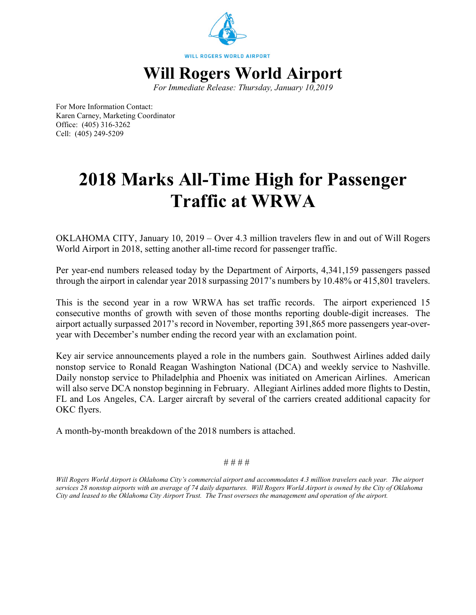

*For Immediate Release: Thursday, January 10,2019*

For More Information Contact: Karen Carney, Marketing Coordinator Office: (405) 316-3262 Cell: (405) 249-5209

## **2018 Marks All-Time High for Passenger Traffic at WRWA**

OKLAHOMA CITY, January 10, 2019 – Over 4.3 million travelers flew in and out of Will Rogers World Airport in 2018, setting another all-time record for passenger traffic.

Per year-end numbers released today by the Department of Airports, 4,341,159 passengers passed through the airport in calendar year 2018 surpassing 2017's numbers by 10.48% or 415,801 travelers.

This is the second year in a row WRWA has set traffic records. The airport experienced 15 consecutive months of growth with seven of those months reporting double-digit increases. The airport actually surpassed 2017's record in November, reporting 391,865 more passengers year-overyear with December's number ending the record year with an exclamation point.

Key air service announcements played a role in the numbers gain. Southwest Airlines added daily nonstop service to Ronald Reagan Washington National (DCA) and weekly service to Nashville. Daily nonstop service to Philadelphia and Phoenix was initiated on American Airlines. American will also serve DCA nonstop beginning in February. Allegiant Airlines added more flights to Destin, FL and Los Angeles, CA. Larger aircraft by several of the carriers created additional capacity for OKC flyers.

A month-by-month breakdown of the 2018 numbers is attached.

# # # #

*Will Rogers World Airport is Oklahoma City's commercial airport and accommodates 4.3 million travelers each year. The airport services 28 nonstop airports with an average of 74 daily departures. Will Rogers World Airport is owned by the City of Oklahoma City and leased to the Oklahoma City Airport Trust. The Trust oversees the management and operation of the airport.*